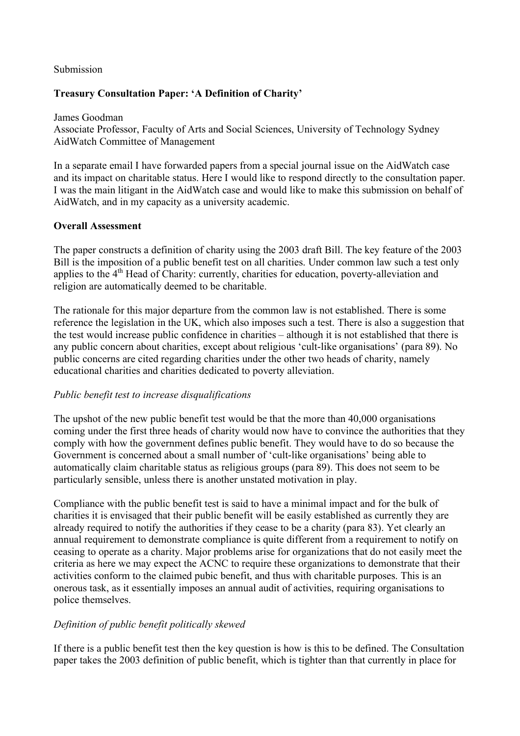### Submission

## **Treasury Consultation Paper: 'A Definition of Charity'**

 Associate Professor, Faculty of Arts and Social Sciences, University of Technology Sydney AidWatch Committee of Management James Goodman

 In a separate email I have forwarded papers from a special journal issue on the AidWatch case and its impact on charitable status. Here I would like to respond directly to the consultation paper. I was the main litigant in the AidWatch case and would like to make this submission on behalf of AidWatch, and in my capacity as a university academic.

### **Overall Assessment**

 The paper constructs a definition of charity using the 2003 draft Bill. The key feature of the 2003 Bill is the imposition of a public benefit test on all charities. Under common law such a test only applies to the 4<sup>th</sup> Head of Charity: currently, charities for education, poverty-alleviation and religion are automatically deemed to be charitable.

 The rationale for this major departure from the common law is not established. There is some reference the legislation in the UK, which also imposes such a test. There is also a suggestion that the test would increase public confidence in charities – although it is not established that there is any public concern about charities, except about religious 'cult-like organisations' (para 89). No public concerns are cited regarding charities under the other two heads of charity, namely educational charities and charities dedicated to poverty alleviation.

## *Public benefit test to increase disqualifications*

 The upshot of the new public benefit test would be that the more than 40,000 organisations coming under the first three heads of charity would now have to convince the authorities that they comply with how the government defines public benefit. They would have to do so because the Government is concerned about a small number of 'cult-like organisations' being able to automatically claim charitable status as religious groups (para 89). This does not seem to be particularly sensible, unless there is another unstated motivation in play.

 Compliance with the public benefit test is said to have a minimal impact and for the bulk of charities it is envisaged that their public benefit will be easily established as currently they are already required to notify the authorities if they cease to be a charity (para 83). Yet clearly an annual requirement to demonstrate compliance is quite different from a requirement to notify on ceasing to operate as a charity. Major problems arise for organizations that do not easily meet the criteria as here we may expect the ACNC to require these organizations to demonstrate that their activities conform to the claimed pubic benefit, and thus with charitable purposes. This is an onerous task, as it essentially imposes an annual audit of activities, requiring organisations to police themselves.

# *Definition of public benefit politically skewed*

 If there is a public benefit test then the key question is how is this to be defined. The Consultation paper takes the 2003 definition of public benefit, which is tighter than that currently in place for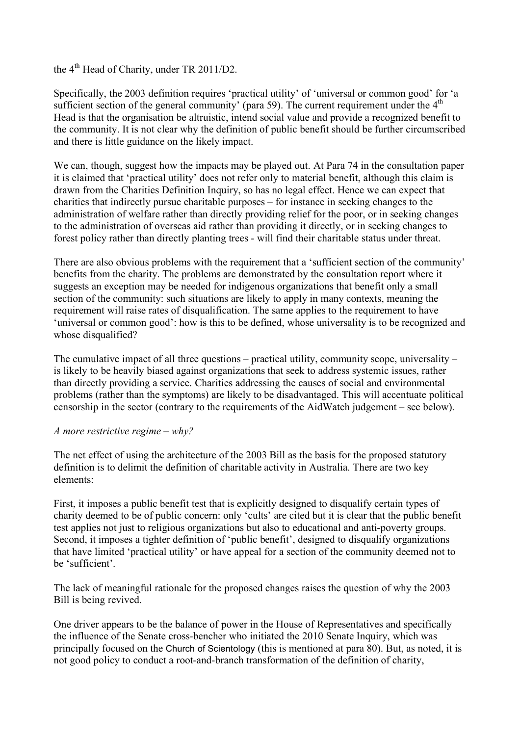## the  $4<sup>th</sup>$  Head of Charity, under TR 2011/D2.

 Specifically, the 2003 definition requires 'practical utility' of 'universal or common good' for 'a sufficient section of the general community' (para 59). The current requirement under the  $4<sup>th</sup>$  Head is that the organisation be altruistic, intend social value and provide a recognized benefit to the community. It is not clear why the definition of public benefit should be further circumscribed and there is little guidance on the likely impact.

 We can, though, suggest how the impacts may be played out. At Para 74 in the consultation paper it is claimed that 'practical utility' does not refer only to material benefit, although this claim is drawn from the Charities Definition Inquiry, so has no legal effect. Hence we can expect that charities that indirectly pursue charitable purposes – for instance in seeking changes to the administration of welfare rather than directly providing relief for the poor, or in seeking changes to the administration of overseas aid rather than providing it directly, or in seeking changes to forest policy rather than directly planting trees - will find their charitable status under threat.

 There are also obvious problems with the requirement that a 'sufficient section of the community' benefits from the charity. The problems are demonstrated by the consultation report where it suggests an exception may be needed for indigenous organizations that benefit only a small section of the community: such situations are likely to apply in many contexts, meaning the requirement will raise rates of disqualification. The same applies to the requirement to have 'universal or common good': how is this to be defined, whose universality is to be recognized and whose disqualified?

 The cumulative impact of all three questions – practical utility, community scope, universality – is likely to be heavily biased against organizations that seek to address systemic issues, rather than directly providing a service. Charities addressing the causes of social and environmental problems (rather than the symptoms) are likely to be disadvantaged. This will accentuate political censorship in the sector (contrary to the requirements of the AidWatch judgement – see below).

#### *A more restrictive regime – why?*

 The net effect of using the architecture of the 2003 Bill as the basis for the proposed statutory definition is to delimit the definition of charitable activity in Australia. There are two key elements:

 First, it imposes a public benefit test that is explicitly designed to disqualify certain types of charity deemed to be of public concern: only 'cults' are cited but it is clear that the public benefit test applies not just to religious organizations but also to educational and anti-poverty groups. Second, it imposes a tighter definition of 'public benefit', designed to disqualify organizations that have limited 'practical utility' or have appeal for a section of the community deemed not to be 'sufficient'.

 The lack of meaningful rationale for the proposed changes raises the question of why the 2003 Bill is being revived.

 One driver appears to be the balance of power in the House of Representatives and specifically the influence of the Senate cross-bencher who initiated the 2010 Senate Inquiry, which was principally focused on the Church of Scientology (this is mentioned at para 80). But, as noted, it is not good policy to conduct a root-and-branch transformation of the definition of charity,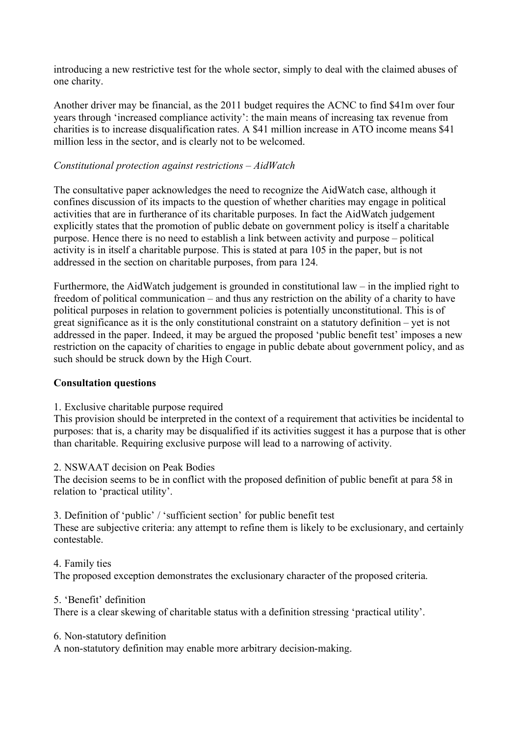introducing a new restrictive test for the whole sector, simply to deal with the claimed abuses of one charity.

 Another driver may be financial, as the 2011 budget requires the ACNC to find \$41m over four years through 'increased compliance activity': the main means of increasing tax revenue from charities is to increase disqualification rates. A \$41 million increase in ATO income means \$41 million less in the sector, and is clearly not to be welcomed.

## *Constitutional protection against restrictions – AidWatch*

 The consultative paper acknowledges the need to recognize the AidWatch case, although it confines discussion of its impacts to the question of whether charities may engage in political activities that are in furtherance of its charitable purposes. In fact the AidWatch judgement explicitly states that the promotion of public debate on government policy is itself a charitable purpose. Hence there is no need to establish a link between activity and purpose – political activity is in itself a charitable purpose. This is stated at para 105 in the paper, but is not addressed in the section on charitable purposes, from para 124.

 Furthermore, the AidWatch judgement is grounded in constitutional law – in the implied right to freedom of political communication – and thus any restriction on the ability of a charity to have political purposes in relation to government policies is potentially unconstitutional. This is of great significance as it is the only constitutional constraint on a statutory definition – yet is not addressed in the paper. Indeed, it may be argued the proposed 'public benefit test' imposes a new restriction on the capacity of charities to engage in public debate about government policy, and as such should be struck down by the High Court.

## **Consultation questions**

1. Exclusive charitable purpose required

 This provision should be interpreted in the context of a requirement that activities be incidental to purposes: that is, a charity may be disqualified if its activities suggest it has a purpose that is other than charitable. Requiring exclusive purpose will lead to a narrowing of activity.

## 2. NSWAAT decision on Peak Bodies

 The decision seems to be in conflict with the proposed definition of public benefit at para 58 in relation to 'practical utility'.

 3. Definition of 'public' / 'sufficient section' for public benefit test These are subjective criteria: any attempt to refine them is likely to be exclusionary, and certainly contestable.

### 4. Family ties

The proposed exception demonstrates the exclusionary character of the proposed criteria.

#### 5. 'Benefit' definition

There is a clear skewing of charitable status with a definition stressing 'practical utility'.

#### 6. Non-statutory definition

A non-statutory definition may enable more arbitrary decision-making.